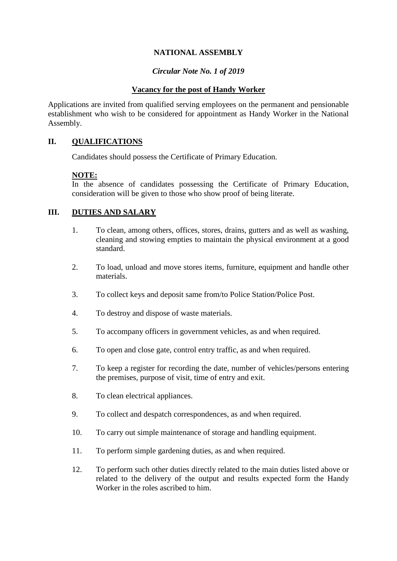# **NATIONAL ASSEMBLY**

## *Circular Note No. 1 of 2019*

### **Vacancy for the post of Handy Worker**

Applications are invited from qualified serving employees on the permanent and pensionable establishment who wish to be considered for appointment as Handy Worker in the National Assembly.

## **II. QUALIFICATIONS**

Candidates should possess the Certificate of Primary Education.

#### **NOTE:**

In the absence of candidates possessing the Certificate of Primary Education, consideration will be given to those who show proof of being literate.

#### **III. DUTIES AND SALARY**

- 1. To clean, among others, offices, stores, drains, gutters and as well as washing, cleaning and stowing empties to maintain the physical environment at a good standard.
- 2. To load, unload and move stores items, furniture, equipment and handle other materials.
- 3. To collect keys and deposit same from/to Police Station/Police Post.
- 4. To destroy and dispose of waste materials.
- 5. To accompany officers in government vehicles, as and when required.
- 6. To open and close gate, control entry traffic, as and when required.
- 7. To keep a register for recording the date, number of vehicles/persons entering the premises, purpose of visit, time of entry and exit.
- 8. To clean electrical appliances.
- 9. To collect and despatch correspondences, as and when required.
- 10. To carry out simple maintenance of storage and handling equipment.
- 11. To perform simple gardening duties, as and when required.
- 12. To perform such other duties directly related to the main duties listed above or related to the delivery of the output and results expected form the Handy Worker in the roles ascribed to him.